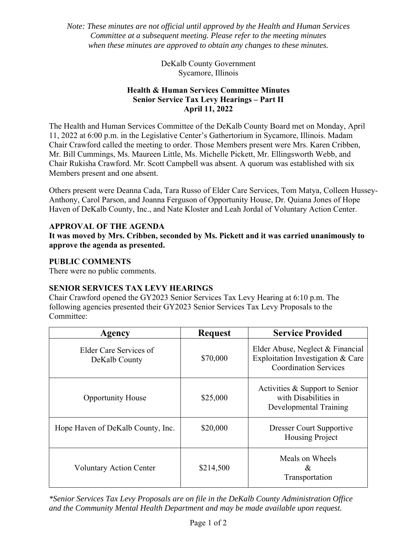*Note: These minutes are not official until approved by the Health and Human Services Committee at a subsequent meeting. Please refer to the meeting minutes when these minutes are approved to obtain any changes to these minutes.* 

> DeKalb County Government Sycamore, Illinois

### **Health & Human Services Committee Minutes Senior Service Tax Levy Hearings – Part II April 11, 2022**

The Health and Human Services Committee of the DeKalb County Board met on Monday, April 11, 2022 at 6:00 p.m. in the Legislative Center's Gathertorium in Sycamore, Illinois. Madam Chair Crawford called the meeting to order. Those Members present were Mrs. Karen Cribben, Mr. Bill Cummings, Ms. Maureen Little, Ms. Michelle Pickett, Mr. Ellingsworth Webb, and Chair Rukisha Crawford. Mr. Scott Campbell was absent. A quorum was established with six Members present and one absent.

Others present were Deanna Cada, Tara Russo of Elder Care Services, Tom Matya, Colleen Hussey-Anthony, Carol Parson, and Joanna Ferguson of Opportunity House, Dr. Quiana Jones of Hope Haven of DeKalb County, Inc., and Nate Kloster and Leah Jordal of Voluntary Action Center.

# **APPROVAL OF THE AGENDA**

**It was moved by Mrs. Cribben, seconded by Ms. Pickett and it was carried unanimously to approve the agenda as presented.** 

### **PUBLIC COMMENTS**

There were no public comments.

# **SENIOR SERVICES TAX LEVY HEARINGS**

Chair Crawford opened the GY2023 Senior Services Tax Levy Hearing at 6:10 p.m. The following agencies presented their GY2023 Senior Services Tax Levy Proposals to the Committee:

| Agency                                  | <b>Request</b> | <b>Service Provided</b>                                                                               |
|-----------------------------------------|----------------|-------------------------------------------------------------------------------------------------------|
| Elder Care Services of<br>DeKalb County | \$70,000       | Elder Abuse, Neglect & Financial<br>Exploitation Investigation & Care<br><b>Coordination Services</b> |
| <b>Opportunity House</b>                | \$25,000       | Activities & Support to Senior<br>with Disabilities in<br>Developmental Training                      |
| Hope Haven of DeKalb County, Inc.       | \$20,000       | <b>Dresser Court Supportive</b><br><b>Housing Project</b>                                             |
| <b>Voluntary Action Center</b>          | \$214,500      | Meals on Wheels<br>&<br>Transportation                                                                |

*\*Senior Services Tax Levy Proposals are on file in the DeKalb County Administration Office and the Community Mental Health Department and may be made available upon request.*